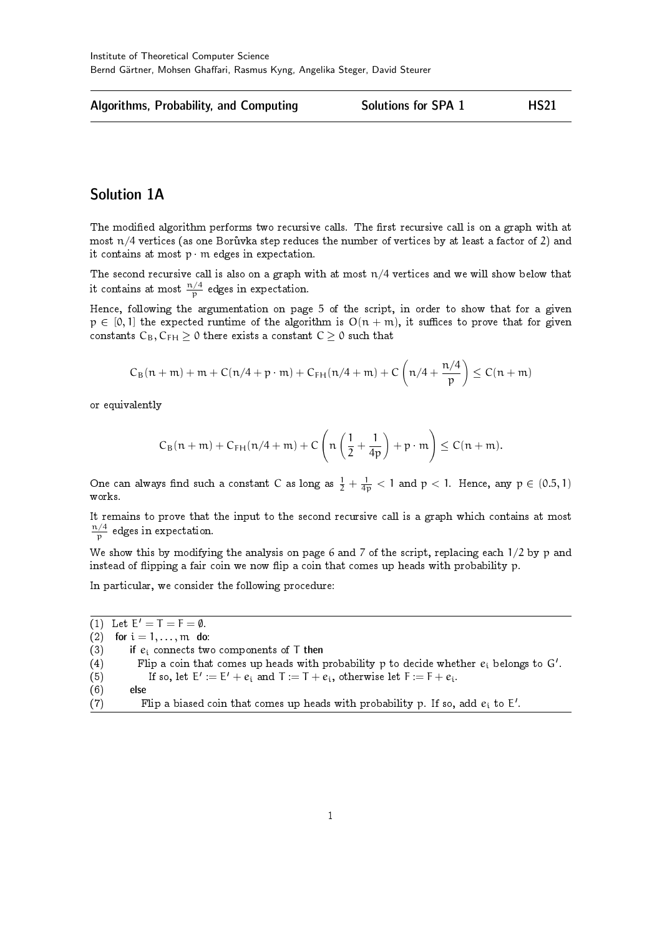#### Solution 1A

The modified algorithm performs two recursive calls. The first recursive call is on a graph with at most n/4 vertices (as one Boruvka step reduces the number of vertices by at least a factor of 2) and it contains at most p m edges in expectation.

The second recursive call is also on a graph with at most  $n/4$  vertices and we will show below that it contains at most  $\frac{n/4}{p}$  edges in expectation.

Hence, following the argumentation on page 5 of the script, in order to show that for a given  $p \in [0, 1]$  the expected runtime of the algorithm is  $O(n + m)$ , it suffices to prove that for given constants  $C_{\rm B}$ ,  $C_{\rm FH}$  > 0 there exists a constant  $C > 0$  such that

$$
C_B(n+m)+m+C(n/4+p\cdot m)+C_{FH}(n/4+m)+C\left(n/4+\frac{n/4}{p}\right)\leq C(n+m)
$$

or equivalently

$$
C_{\mathrm{B}}(n+m) + C_{\mathrm{FH}}(n/4+m) + C\left(n\left(\frac{1}{2} + \frac{1}{4p}\right) + p \cdot m\right) \leq C(n+m).
$$

One can always find such a constant C as long as  $\frac{1}{2} + \frac{1}{4p} < 1$  and  $p < 1$ . Hence, any  $p \in (0.5, 1)$ works.

It remains to prove that the input to the second recursive call is a graph which contains at most n/4  $\frac{p}{p}$  edges in expectation.

We show this by modifying the analysis on page 6 and 7 of the script, replacing each  $1/2$  by p and instead of flipping a fair coin we now flip a coin that comes up heads with probability p.

In particular, we consider the following procedure:

(1) Let  $E' = T = F = \emptyset$ . (2) for  $i = 1, ..., m$  do: (3) if  $e_i$  connects two components of T then (4) Flip a coin that comes up heads with probability p to decide whether  $e_i$  belongs to G'. (5) If so, let  $E' := E' + e_i$  and  $T := T + e_i$ , otherwise let  $F := F + e_i$ . (6) else (7) Flip a biased coin that comes up heads with probability p. If so, add  $e_i$  to E'.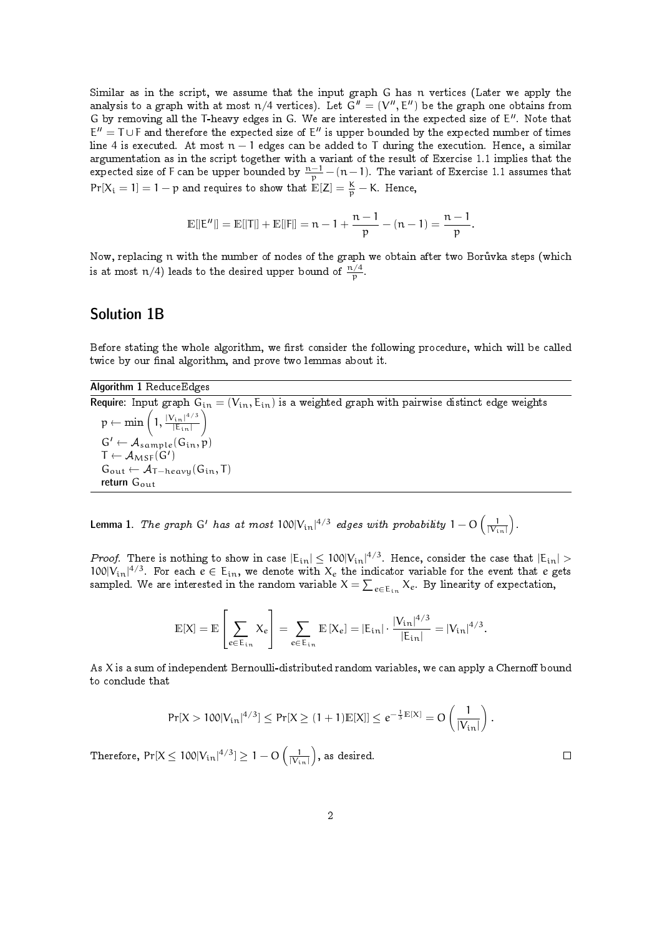Similar as in the script, we assume that the input graph G has n vertices (Later we apply the analysis to a graph with at most  $n/4$  vertices). Let  $G'' = (V'', E'')$  be the graph one obtains from G by removing all the T-heavy edges in G. We are interested in the expected size of E". Note that  $\mathsf{E}^{\,\prime\prime}=\mathsf{T}\cup\mathsf{F}$  and therefore the expected size of  $\mathsf{E}^{\,\prime\prime}$  is upper bounded by the expected number of times line 4 is executed. At most  $n - 1$  edges can be added to T during the execution. Hence, a similar argumentation as in the script together with a variant of the result of Exercise 1.1 implies that the expected size of F can be upper bounded by  $\frac{n-1}{p}-(n-1)$ . The variant of Exercise 1.1 assumes that  $Pr[X_i = 1] = 1 - p$  and requires to show that  $E[Z] = \frac{K}{p} - K$ . Hence,

$$
\mathbb{E}[|E''|] = \mathbb{E}[|T|] + \mathbb{E}[|F|] = n-1 + \frac{n-1}{p} - (n-1) = \frac{n-1}{p}.
$$

Now, replacing n with the number of nodes of the graph we obtain after two Borůvka steps (which is at most  $n/4$ ) leads to the desired upper bound of  $\frac{n/4}{p}$ .

### Solution 1B

Before stating the whole algorithm, we first consider the following procedure, which will be called twice by our final algorithm, and prove two lemmas about it.

Algorithm 1 ReduceEdges Require: Input graph  $G_{in} = (V_{in}, E_{in})$  is a weighted graph with pairwise distinct edge weights  $\mathfrak{p} \gets \min\left(1, \frac{|V_{\text{in}}|^{4/3}}{|\mathsf{E}_{\text{in}}|}\right)$  $|E_{in}|$  $\setminus$  $G' \leftarrow \mathcal{A}_{sample}(G_{in}, p)$  $T \leftarrow \mathcal{A}_{MSF}(G')$  $G_{\text{out}} \leftarrow \mathcal{A}_{\text{T}-\text{heavy}}(G_{\text{in}}, T)$ return  $G_{\text{out}}$ 

**Lemma 1.** The graph G' has at most  $100|V_{\rm in}|^{4/3}$  edges with probability  $1-O\left(\frac{1}{|V_{\rm in}|}\right)$ .

*Proof.* There is nothing to show in case  $|E_{in}| \leq 100|V_{in}|^{4/3}$ . Hence, consider the case that  $|E_{in}| >$ 100 $|V_{in}|^{4/3}$ . For each  $e \in E_{in}$ , we denote with  $X_e$  the indicator variable for the event that  $e$  gets sampled. We are interested in the random variable  $\textsf{X}=\sum_{e\in\textsf{E}_{\textsf{in}}}\textsf{X}_{e\cdot}$  By linearity of expectation,

$$
\mathbb{E}[X] = \mathbb{E}\left[\sum_{e \in E_{in}} X_e\right] = \sum_{e \in E_{in}} \mathbb{E}\left[X_e\right] = |E_{in}| \cdot \frac{|V_{in}|^{4/3}}{|E_{in}|} = |V_{in}|^{4/3}.
$$

As  $X$  is a sum of independent Bernoulli-distributed random variables, we can apply a Chernoff bound to conclude that

$$
\Pr[X > 100 |V_{\text{in}}|^{4/3}] \le \Pr[X \ge (1+1) \mathbb{E}[X]] \le e^{-\frac{1}{3} \mathbb{E}[X]} = O\left(\frac{1}{|V_{\text{in}}|}\right).
$$

Therefore,  $\Pr[X \leq 100 |V_{\text{in}}|^{4/3}] \geq 1 - \mathrm{O}\left(\frac{1}{|V_{\text{in}}|}\right)$ , as desired.

 $\Box$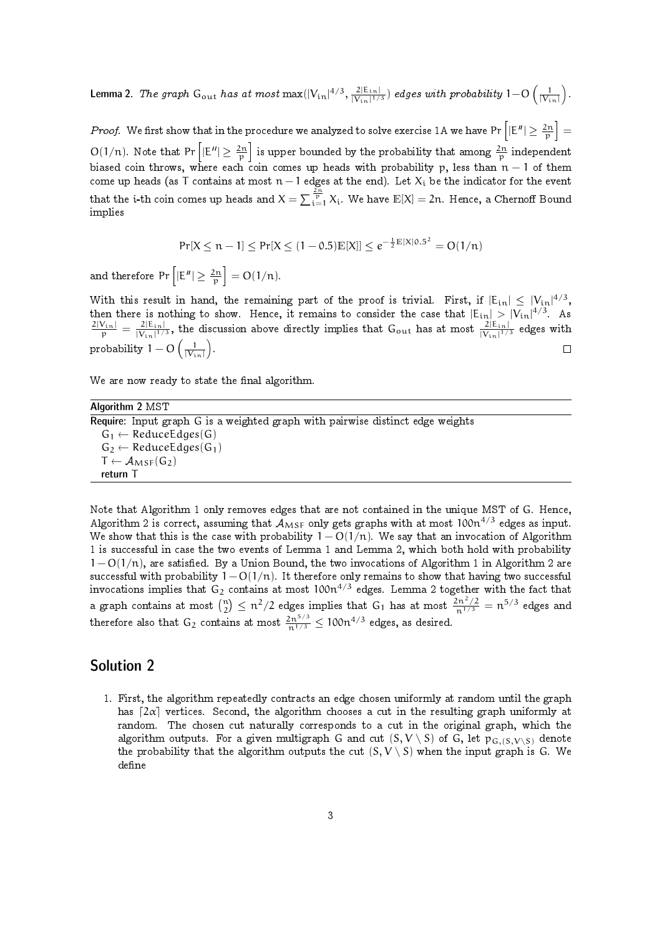**Lemma 2.** The graph  $G_{\text{out}}$  has at most  $\max(|V_{\text{in}}|^{4/3}, \frac{2|E_{\text{in}}|}{|V_{\text{in}}|^{1/3}})$  $\frac{2|\mathsf{E}_{\text{in}}|}{|\mathsf{V}_{\text{in}}|^{1/3}}$ ) edges with probability  $1\!-\!{\rm O}\left(\frac{1}{|\mathsf{V}_{\text{in}}|}\right)$ .

*Proof.* We first show that in the procedure we analyzed to solve exercise 1A we have Pr  $\left|\left|E''\right|\geq\frac{2n}{p}\right|=$  $O(1/n)$ . Note that Pr  $\left|\ket{E''}\geq \frac{2n}{p}\right|$  is upper bounded by the probability that among  $\frac{2n}{p}$  independent biased coin throws, where each coin comes up heads with probability  $\bm{{\mathsf{p}}},$  less than  $\bm{{\mathsf{n}}}-\bm{1}$  of them come up heads (as T contains at most  $n-1$  edges at the end). Let  $X_i$  be the indicator for the event that the i-th coin comes up heads and  $X=\sum_{i=1}^{\frac{2n}{p}} X_i.$  We have  $\mathbb{E}[X]=2\mathfrak{n}$ . Hence, a Chernoff Bound implies

$$
Pr[X \le n - 1] \le Pr[X \le (1 - 0.5) \mathbb{E}[X]] \le e^{-\frac{1}{2} \mathbb{E}[X]0.5^2} = O(1/n)
$$

and therefore Pr  $\left|E''\right| \geq \frac{2n}{p}\right| = O(1/n)$ .

With this result in hand, the remaining part of the proof is trivial. First, if  $|E_{in}| \leq |V_{in}|^{4/3}$ , then there is nothing to show. Hence, it remains to consider the case that  $|{\rm E}_{\rm in}|>|V_{\rm in}|^{4/3}$ . As  $\frac{2|V_{in}|}{p} = \frac{2|E_{in}|}{|V_{in}|^{1/2}}$  $\frac{2|E_{in}|}{|V_{in}|^{1/3}}$ , the discussion above directly implies that  $G_{out}$  has at most  $\frac{2|E_{in}|}{|V_{in}|^{1/3}}$  edges with probability  $1 - \mathrm{O}\left(\frac{1}{|\mathcal{V}_{\text{in}}|}\right)$  .  $\Box$ 

We are now ready to state the final algorithm.

| Algorithm 2 MST |                                                                                |
|-----------------|--------------------------------------------------------------------------------|
|                 | Require: Input graph G is a weighted graph with pairwise distinct edge weights |
|                 | $G_1 \leftarrow$ ReduceEdges(G)                                                |
|                 | $G_2 \leftarrow \text{ReduceEdges}(G_1)$                                       |
|                 | $T \leftarrow A_{MSE}(G_2)$                                                    |
| return T        |                                                                                |

Note that Algorithm 1 only removes edges that are not contained in the unique MST of G. Hence, Algorithm 2 is correct, assuming that  $A_{MSF}$  only gets graphs with at most  $100n^{4/3}$  edges as input. We show that this is the case with probability  $1 - O(1/n)$ . We say that an invocation of Algorithm 1 is successful in case the two events of Lemma 1 and Lemma 2, which both hold with probability  $1 - O(1/n)$ , are satisfied. By a Union Bound, the two invocations of Algorithm 1 in Algorithm 2 are successful with probability  $1-O(1/n)$ . It therefore only remains to show that having two successful invocations implies that  $\textsf{G}_{2}$  contains at most  $100\mathfrak{n}^{4/3}$  edges. Lemma  $2$  together with the fact that a graph contains at most  $\binom{n}{2}\leq n^2/2$  edges implies that  $G_1$  has at most  $\frac{2n^2/2}{n^{1/3}}=n^{5/3}$  edges and therefore also that  $\textsf{G}_2$  contains at most  $\frac{2\text{n}^{5/3}}{\text{n}^{1/3}}\leq 100\text{n}^{4/3}$  edges, as desired.

#### Solution 2

1. First, the algorithm repeatedly contracts an edge chosen uniformly at random until the graph has  $[2\alpha]$  vertices. Second, the algorithm chooses a cut in the resulting graph uniformly at random. The chosen cut naturally corresponds to a cut in the original graph, which the algorithm outputs. For a given multigraph G and cut  $(S, V \setminus S)$  of G, let  $p_{G,}(S, V \setminus S)$  denote the probability that the algorithm outputs the cut  $(S, V \setminus S)$  when the input graph is G. We define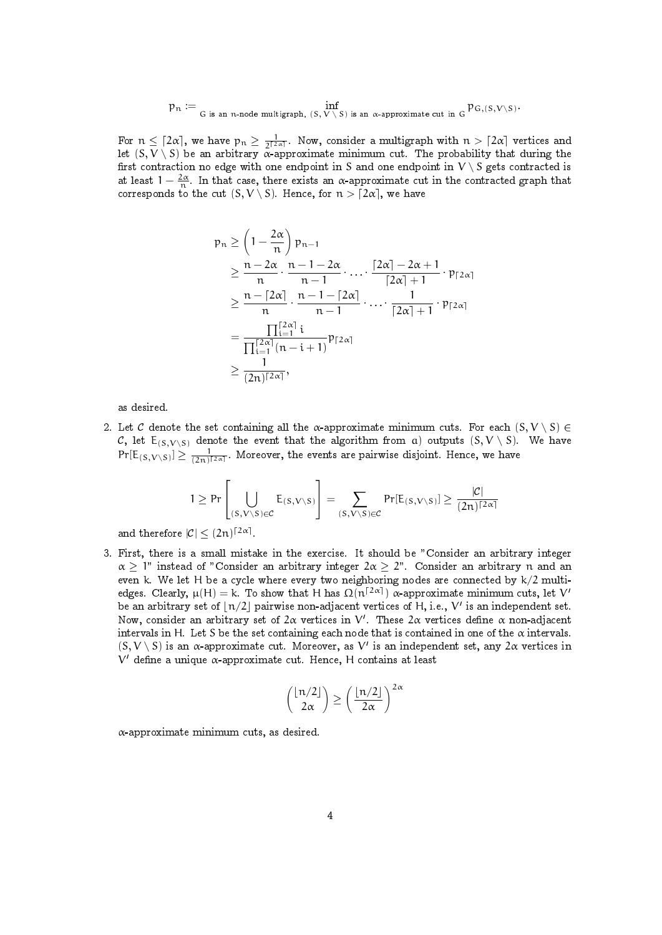$$
\mathfrak{p}_n \coloneqq \inf_{G \text{ is an } n\text{-node multigraph, } (S, V \setminus S) \text{ is an } \alpha\text{-approximate cut in } G} \mathfrak{p}_{G, (S, V \setminus S)}.
$$

For  $n \leq \lceil 2\alpha \rceil$ , we have  $p_n \geq \frac{1}{2^{\lceil 2\alpha \rceil}}$ . Now, consider a multigraph with  $n > \lceil 2\alpha \rceil$  vertices and let  $(S, V \setminus S)$  be an arbitrary  $\bar{\alpha}$ -approximate minimum cut. The probability that during the first contraction no edge with one endpoint in S and one endpoint in  $V \setminus S$  gets contracted is at least  $1 - \frac{2\alpha}{n}$ . In that case, there exists an  $\alpha$ -approximate cut in the contracted graph that corresponds to the cut  $(S, V \setminus S)$ . Hence, for  $n > \lceil 2\alpha \rceil$ , we have

$$
\begin{aligned} &p_n\geq \left(1-\frac{2\alpha}{n}\right)p_{n-1} \\ &\geq \frac{n-2\alpha}{n}\cdot \frac{n-1-2\alpha}{n-1}\cdot \cdots \cdot \frac{\left[2\alpha\right]-2\alpha+1}{\left[2\alpha\right]+1}\cdot p_{\left[2\alpha\right]} \\ &\geq \frac{n-\left[2\alpha\right]}{n}\cdot \frac{n-1-\left[2\alpha\right]}{n-1}\cdot \cdots \cdot \frac{1}{\left[2\alpha\right]+1}\cdot p_{\left[2\alpha\right]} \\ &=\frac{\prod_{i=1}^{\left[2\alpha\right]} i}{\prod_{i=1}^{\left[2\alpha\right]} (n-i+1)}p_{\left[2\alpha\right]} \\ &\geq \frac{1}{\left(2n\right)^{\left[2\alpha\right]}}, \end{aligned}
$$

as desired.

2. Let C denote the set containing all the  $\alpha$ -approximate minimum cuts. For each  $(S, V \setminus S) \in$ C, let  $E_{(S,V\setminus S)}$  denote the event that the algorithm from a) outputs  $(S, V \setminus S)$ . We have  $Pr[E_{(S,V\setminus S)}]\geq \frac{1}{(2n)^{\lceil 2\alpha\rceil}}.$  Moreover, the events are pairwise disjoint. Hence, we have

$$
1 \ge \Pr\left[\bigcup_{(S,V\setminus S)\in\mathcal{C}}E_{(S,V\setminus S)}\right] = \sum_{(S,V\setminus S)\in\mathcal{C}}\Pr[E_{(S,V\setminus S)}] \ge \frac{|\mathcal{C}|}{(2n)^{\lceil 2\alpha \rceil}}
$$

and therefore  $|C| \leq (2n)^{\lceil 2\alpha \rceil}$ .

3. First, there is a small mistake in the exercise. It should be "Consider an arbitrary integer  $\alpha \geq 1$ " instead of "Consider an arbitrary integer 2 $\alpha \geq 2$ ". Consider an arbitrary  $\mathfrak n$  and an even k. We let H be a cycle where every two neighboring nodes are connected by k/2 multiedges. Clearly,  $\mu(\mathsf{H}) = \mathsf{k}$ . To show that  $\mathsf{H}$  has  $\Omega(\mathsf{n}^{\lceil 2\alpha \rceil})$  α-approximate minimum cuts, let  $\mathsf{V}'$ be an arbitrary set of  $\lfloor n/2 \rfloor$  pairwise non-adjacent vertices of H, i.e.,  $\mathsf{V}'$  is an independent set. Now, consider an arbitrary set of 2 $\alpha$  vertices in V'. These 2 $\alpha$  vertices define  $\alpha$  non-adjacent intervals in H. Let S be the set containing each node that is contained in one of the  $\alpha$  intervals.  $(S, V \setminus S)$  is an  $\alpha$ -approximate cut. Moreover, as  $V'$  is an independent set, any  $2\alpha$  vertices in V <sup>0</sup> dene a unique α-approximate cut. Hence, H contains at least

$$
\binom{\lfloor n/2 \rfloor}{2\alpha} \geq \left( \frac{\lfloor n/2 \rfloor}{2\alpha} \right)^{2\alpha}
$$

 $\alpha$ -approximate minimum cuts, as desired.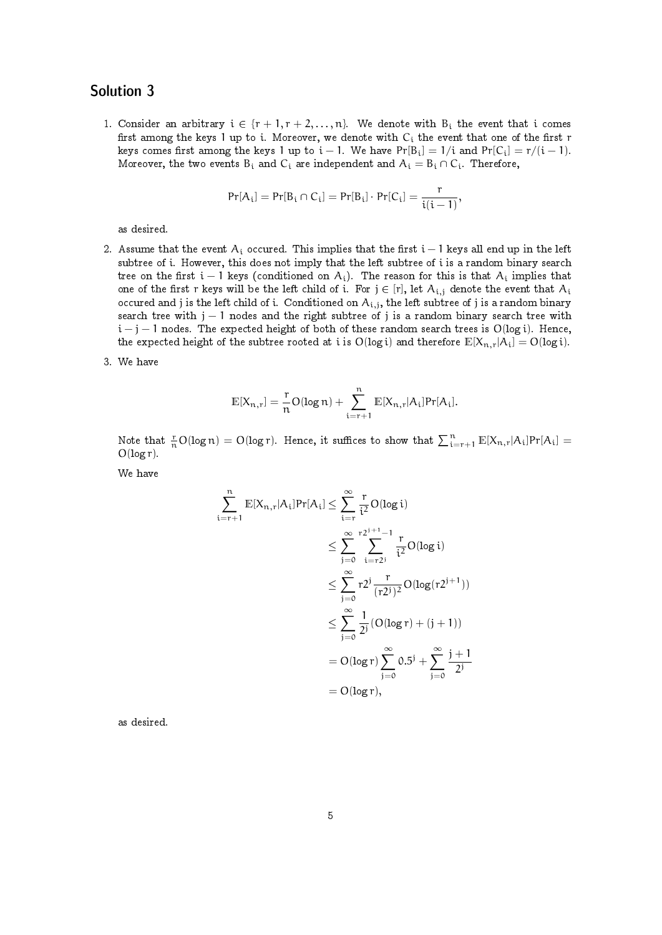# Solution 3

1. Consider an arbitrary  $i \in \{r + 1, r + 2, ..., n\}$ . We denote with  $B_i$  the event that i comes first among the keys 1 up to i. Moreover, we denote with  $C_i$  the event that one of the first r keys comes first among the keys 1 up to i – 1. We have  $Pr[B_i] = 1/i$  and  $Pr[C_i] = r/(i - 1)$ . Moreover, the two events  $B_i$  and  $C_i$  are independent and  $A_i = B_i \cap C_i$ . Therefore,

$$
\text{Pr}[A_i] = \text{Pr}[B_i \cap C_i] = \text{Pr}[B_i] \cdot \text{Pr}[C_i] = \frac{r}{i(i-1)},
$$

as desired.

- 2. Assume that the event  $A_i$  occured. This implies that the first  $i-1$  keys all end up in the left subtree of i. However, this does not imply that the left subtree of i is a random binary search tree on the first i – 1 keys (conditioned on  $A_i$ ). The reason for this is that  $A_i$  implies that one of the first r keys will be the left child of i. For  $j \in [r]$ , let  $A_{i,j}$  denote the event that  $A_i$ occured and j is the left child of i. Conditioned on  $A_{i,j}$ , the left subtree of j is a random binary search tree with  $j - 1$  nodes and the right subtree of j is a random binary search tree with  $i-j-1$  nodes. The expected height of both of these random search trees is  $O(log i)$ . Hence, the expected height of the subtree rooted at i is  $O(log i)$  and therefore  $E[X_{n,r}|A_i] = O(log i)$ .
- 3. We have

$$
\mathbb{E}[X_{n,r}]=\frac{r}{n}O(\log n)+\sum_{i=r+1}^n\mathbb{E}[X_{n,r}|A_i]Pr[A_i].
$$

Note that  $\frac{r}{n}O(\log n) = O(\log r)$ . Hence, it suffices to show that  $\sum_{i=r+1}^{n} \mathbb{E}[X_{n,r}|A_i]Pr[A_i] =$  $O(log r)$ .

We have

$$
\begin{aligned} \sum_{i=r+1}^{n} \mathbb{E}[X_{n,r}|A_i]Pr[A_i] & \leq \sum_{i=r}^{\infty} \frac{r}{i^2} O(\log i) \\ & \leq \sum_{j=0}^{\infty} \sum_{i=r2^j}^{r2^j+1} \frac{r}{i^2} O(\log i) \\ & \leq \sum_{j=0}^{\infty} r2^j \frac{r}{(r2^j)^2} O(\log (r2^{j+1})) \\ & \leq \sum_{j=0}^{\infty} \frac{1}{2^j} (O(\log r) + (j+1)) \\ & = O(\log r) \sum_{j=0}^{\infty} 0.5^j + \sum_{j=0}^{\infty} \frac{j+1}{2^j} \\ & = O(\log r), \end{aligned}
$$

as desired.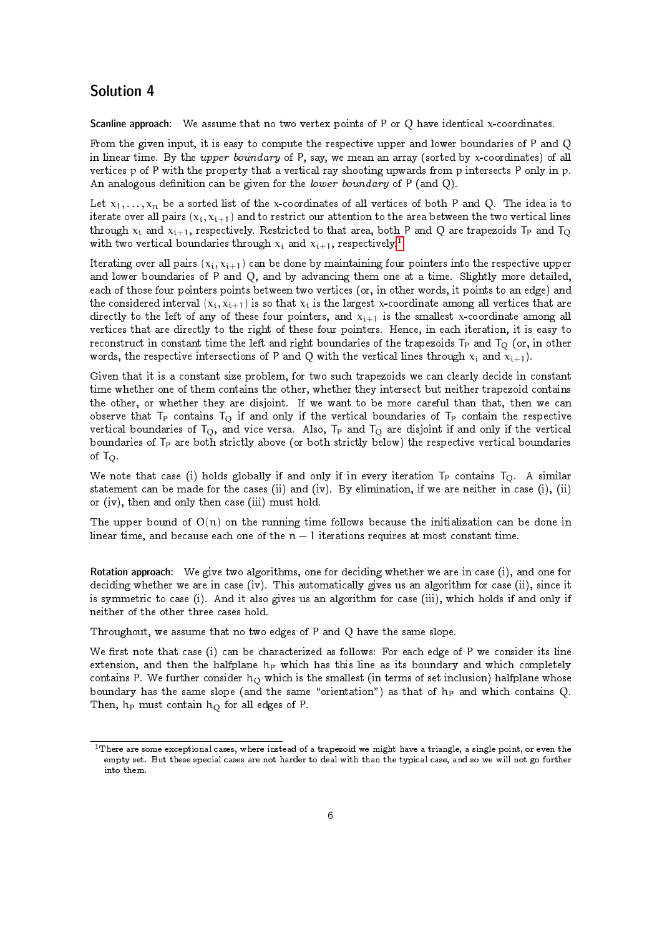## Solution 4

Scanline approach: We assume that no two vertex points of P or Q have identical x-coordinates.

From the given input, it is easy to compute the respective upper and lower boundaries of P and Q in linear time. By the upper boundary of P, say, we mean an array (sorted by x-coordinates) of all vertices p of P with the property that a vertical ray shooting upwards from p intersects P only in p. An analogous definition can be given for the *lower boundary* of  $P$  (and  $Q$ ).

Let  $x_1, \ldots, x_n$  be a sorted list of the x-coordinates of all vertices of both P and Q. The idea is to iterate over all pairs  $(x_i, x_{i+1})$  and to restrict our attention to the area between the two vertical lines through  $x_i$  and  $x_{i+1}$ , respectively. Restricted to that area, both P and Q are trapezoids T<sub>P</sub> and T<sub>Q</sub> with two vertical boundaries through  $x_i$  and  $x_{i+1}$  $x_{i+1}$  $x_{i+1}$ , respectively.<sup>1</sup>

Iterating over all pairs  $(x_i, x_{i+1})$  can be done by maintaining four pointers into the respective upper and lower boundaries of P and Q, and by advancing them one at a time. Slightly more detailed, each of those four pointers points between two vertices (or, in other words, it points to an edge) and the considered interval  $(x_i, x_{i+1})$  is so that  $x_i$  is the largest x-coordinate among all vertices that are directly to the left of any of these four pointers, and  $x_{i+1}$  is the smallest x-coordinate among all vertices that are directly to the right of these four pointers. Hence, in each iteration, it is easy to reconstruct in constant time the left and right boundaries of the trapezoids  $T_P$  and  $T_Q$  (or, in other words, the respective intersections of P and Q with the vertical lines through  $x_i$  and  $x_{i+1}$ ).

Given that it is a constant size problem, for two such trapezoids we can clearly decide in constant time whether one of them contains the other, whether they intersect but neither trapezoid contains the other, or whether they are disjoint. If we want to be more careful than that, then we can observe that  $T_P$  contains  $T_Q$  if and only if the vertical boundaries of  $T_P$  contain the respective vertical boundaries of  $T_Q$ , and vice versa. Also,  $T_P$  and  $T_Q$  are disjoint if and only if the vertical boundaries of  $T_P$  are both strictly above (or both strictly below) the respective vertical boundaries of  $T_{\Omega}$ .

We note that case (i) holds globally if and only if in every iteration  $T_P$  contains  $T_Q$ . A similar statement can be made for the cases (ii) and (iv). By elimination, if we are neither in case (i), (ii) or (iv), then and only then case (iii) must hold.

The upper bound of  $O(n)$  on the running time follows because the initialization can be done in linear time, and because each one of the  $n - 1$  iterations requires at most constant time.

Rotation approach: We give two algorithms, one for deciding whether we are in case (i), and one for deciding whether we are in case (iv). This automatically gives us an algorithm for case (ii), since it is symmetric to case (i). And it also gives us an algorithm for case (iii), which holds if and only if neither of the other three cases hold.

Throughout, we assume that no two edges of P and Q have the same slope.

We first note that case (i) can be characterized as follows: For each edge of P we consider its line extension, and then the halfplane  $h_P$  which has this line as its boundary and which completely contains P. We further consider  $h<sub>Q</sub>$  which is the smallest (in terms of set inclusion) halfplane whose boundary has the same slope (and the same "orientation") as that of  $h_P$  and which contains Q. Then,  $h_P$  must contain  $h_O$  for all edges of P.

<span id="page-5-0"></span><sup>&</sup>lt;sup>1</sup>There are some exceptional cases, where instead of a trapezoid we might have a triangle, a single point, or even the empty set. But these special cases are not harder to deal with than the typical case, and so we will not go further into them.